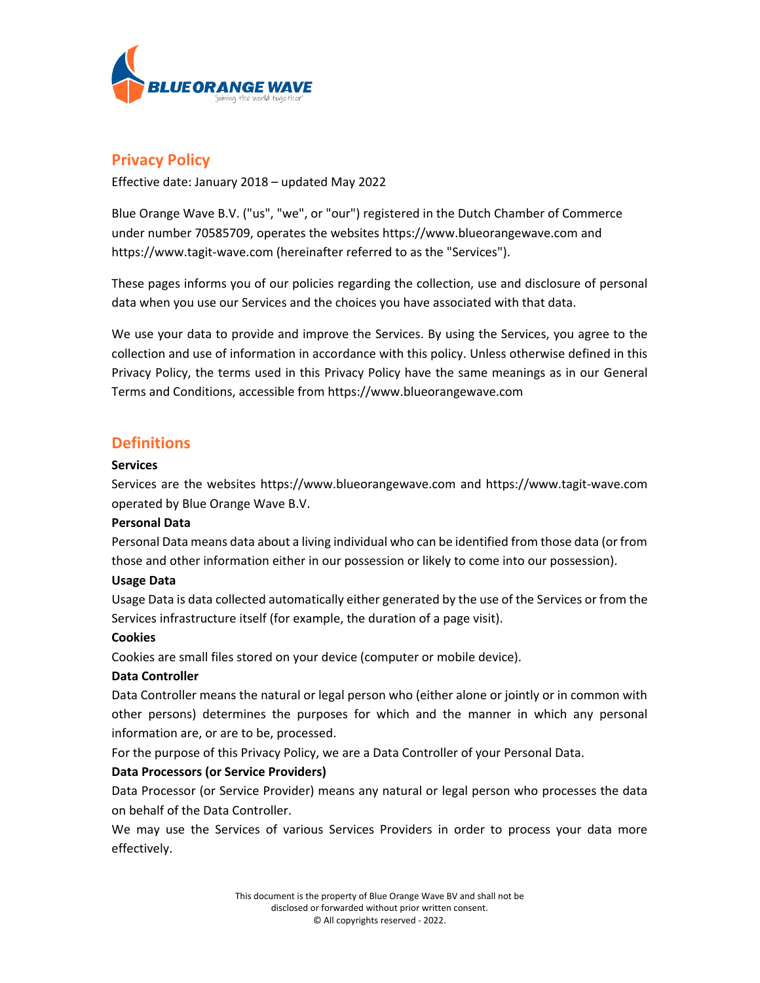

# **Privacy Policy**

Effective date: January 2018 – updated May 2022

Blue Orange Wave B.V. ("us", "we", or "our") registered in the Dutch Chamber of Commerce under number 70585709, operates the websites https://www.blueorangewave.com and https://www.tagit-wave.com (hereinafter referred to as the "Services").

These pages informs you of our policies regarding the collection, use and disclosure of personal data when you use our Services and the choices you have associated with that data.

We use your data to provide and improve the Services. By using the Services, you agree to the collection and use of information in accordance with this policy. Unless otherwise defined in this Privacy Policy, the terms used in this Privacy Policy have the same meanings as in our General Terms and Conditions, accessible from https://www.blueorangewave.com

## **Definitions**

### **Services**

Services are the websites https://www.blueorangewave.com and https://www.tagit-wave.com operated by Blue Orange Wave B.V.

### **Personal Data**

Personal Data means data about a living individual who can be identified from those data (or from those and other information either in our possession or likely to come into our possession).

### **Usage Data**

Usage Data is data collected automatically either generated by the use of the Services or from the Services infrastructure itself (for example, the duration of a page visit).

### **Cookies**

Cookies are small files stored on your device (computer or mobile device).

### **Data Controller**

Data Controller means the natural or legal person who (either alone or jointly or in common with other persons) determines the purposes for which and the manner in which any personal information are, or are to be, processed.

For the purpose of this Privacy Policy, we are a Data Controller of your Personal Data.

### **Data Processors (or Service Providers)**

Data Processor (or Service Provider) means any natural or legal person who processes the data on behalf of the Data Controller.

We may use the Services of various Services Providers in order to process your data more effectively.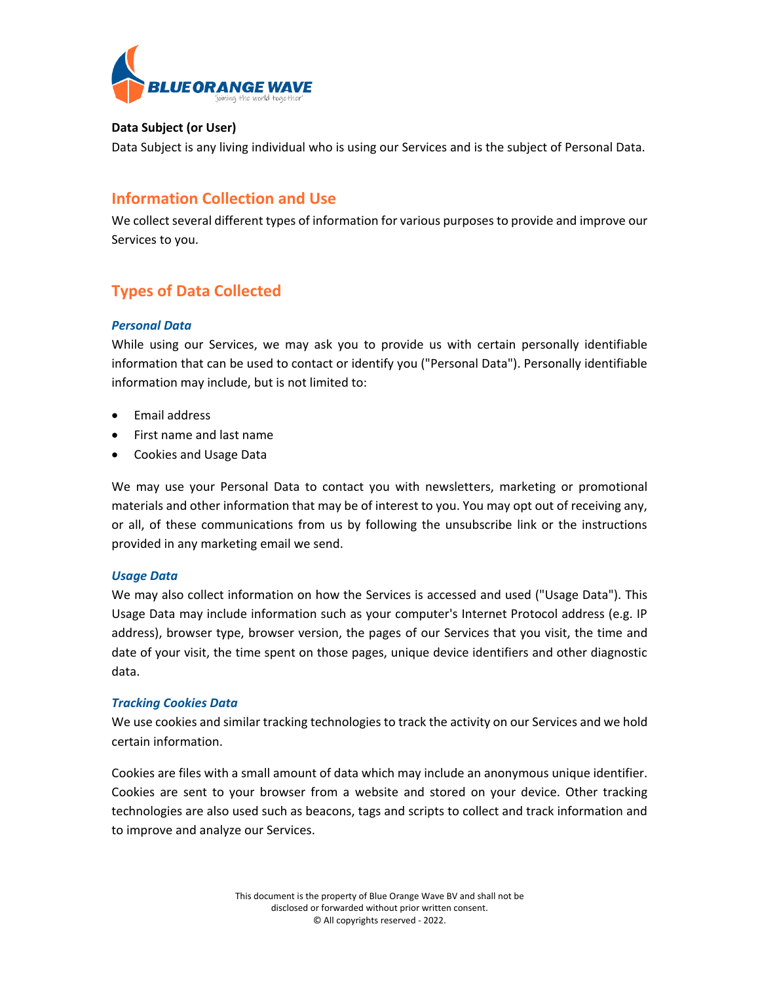

### **Data Subject (or User)**

Data Subject is any living individual who is using our Services and is the subject of Personal Data.

# **Information Collection and Use**

We collect several different types of information for various purposes to provide and improve our Services to you.

# **Types of Data Collected**

### *Personal Data*

While using our Services, we may ask you to provide us with certain personally identifiable information that can be used to contact or identify you ("Personal Data"). Personally identifiable information may include, but is not limited to:

- Email address
- First name and last name
- Cookies and Usage Data

We may use your Personal Data to contact you with newsletters, marketing or promotional materials and other information that may be of interest to you. You may opt out of receiving any, or all, of these communications from us by following the unsubscribe link or the instructions provided in any marketing email we send.

### *Usage Data*

We may also collect information on how the Services is accessed and used ("Usage Data"). This Usage Data may include information such as your computer's Internet Protocol address (e.g. IP address), browser type, browser version, the pages of our Services that you visit, the time and date of your visit, the time spent on those pages, unique device identifiers and other diagnostic data.

### *Tracking Cookies Data*

We use cookies and similar tracking technologies to track the activity on our Services and we hold certain information.

Cookies are files with a small amount of data which may include an anonymous unique identifier. Cookies are sent to your browser from a website and stored on your device. Other tracking technologies are also used such as beacons, tags and scripts to collect and track information and to improve and analyze our Services.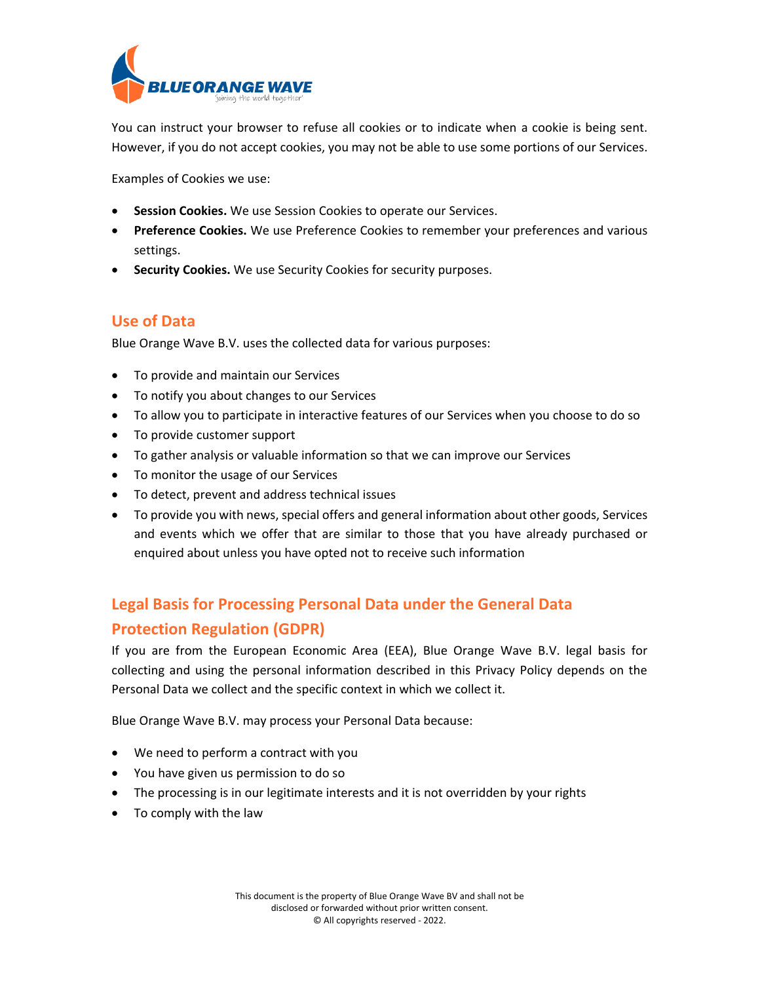

You can instruct your browser to refuse all cookies or to indicate when a cookie is being sent. However, if you do not accept cookies, you may not be able to use some portions of our Services.

Examples of Cookies we use:

- **Session Cookies.** We use Session Cookies to operate our Services.
- **Preference Cookies.** We use Preference Cookies to remember your preferences and various settings.
- **Security Cookies.** We use Security Cookies for security purposes.

### **Use of Data**

Blue Orange Wave B.V. uses the collected data for various purposes:

- To provide and maintain our Services
- To notify you about changes to our Services
- To allow you to participate in interactive features of our Services when you choose to do so
- To provide customer support
- To gather analysis or valuable information so that we can improve our Services
- To monitor the usage of our Services
- To detect, prevent and address technical issues
- To provide you with news, special offers and general information about other goods, Services and events which we offer that are similar to those that you have already purchased or enquired about unless you have opted not to receive such information

# **Legal Basis for Processing Personal Data under the General Data Protection Regulation (GDPR)**

If you are from the European Economic Area (EEA), Blue Orange Wave B.V. legal basis for collecting and using the personal information described in this Privacy Policy depends on the Personal Data we collect and the specific context in which we collect it.

Blue Orange Wave B.V. may process your Personal Data because:

- We need to perform a contract with you
- You have given us permission to do so
- The processing is in our legitimate interests and it is not overridden by your rights
- To comply with the law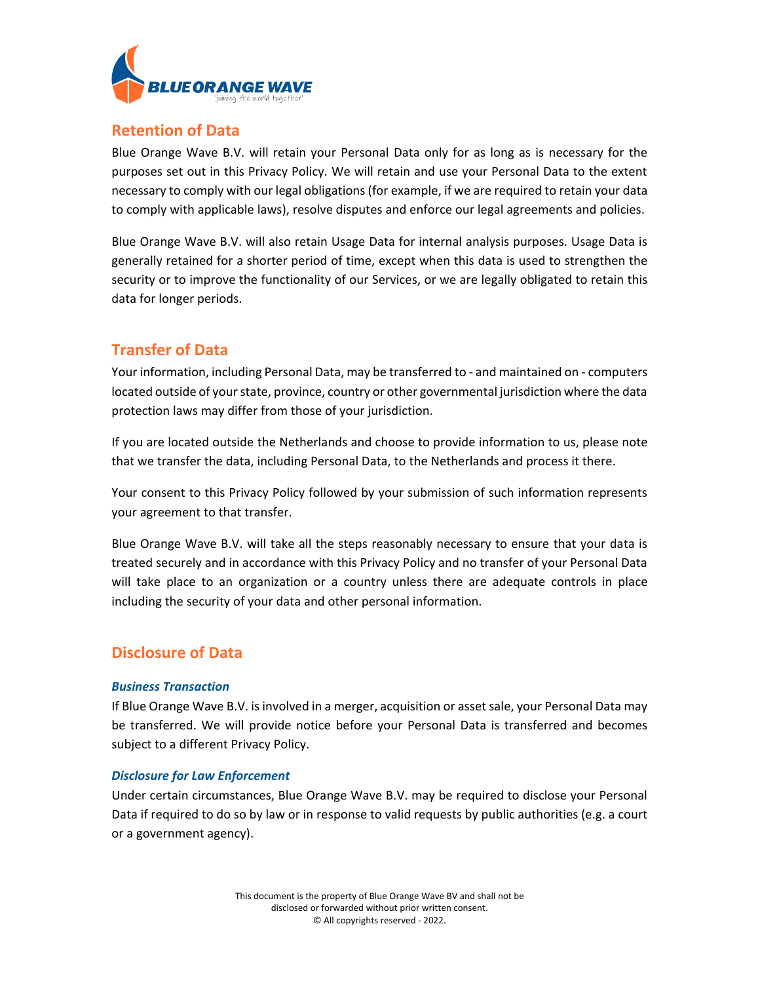

### **Retention of Data**

Blue Orange Wave B.V. will retain your Personal Data only for as long as is necessary for the purposes set out in this Privacy Policy. We will retain and use your Personal Data to the extent necessary to comply with our legal obligations (for example, if we are required to retain your data to comply with applicable laws), resolve disputes and enforce our legal agreements and policies.

Blue Orange Wave B.V. will also retain Usage Data for internal analysis purposes. Usage Data is generally retained for a shorter period of time, except when this data is used to strengthen the security or to improve the functionality of our Services, or we are legally obligated to retain this data for longer periods.

# **Transfer of Data**

Your information, including Personal Data, may be transferred to - and maintained on - computers located outside of your state, province, country or other governmental jurisdiction where the data protection laws may differ from those of your jurisdiction.

If you are located outside the Netherlands and choose to provide information to us, please note that we transfer the data, including Personal Data, to the Netherlands and process it there.

Your consent to this Privacy Policy followed by your submission of such information represents your agreement to that transfer.

Blue Orange Wave B.V. will take all the steps reasonably necessary to ensure that your data is treated securely and in accordance with this Privacy Policy and no transfer of your Personal Data will take place to an organization or a country unless there are adequate controls in place including the security of your data and other personal information.

# **Disclosure of Data**

### *Business Transaction*

If Blue Orange Wave B.V. is involved in a merger, acquisition or asset sale, your Personal Data may be transferred. We will provide notice before your Personal Data is transferred and becomes subject to a different Privacy Policy.

### *Disclosure for Law Enforcement*

Under certain circumstances, Blue Orange Wave B.V. may be required to disclose your Personal Data if required to do so by law or in response to valid requests by public authorities (e.g. a court or a government agency).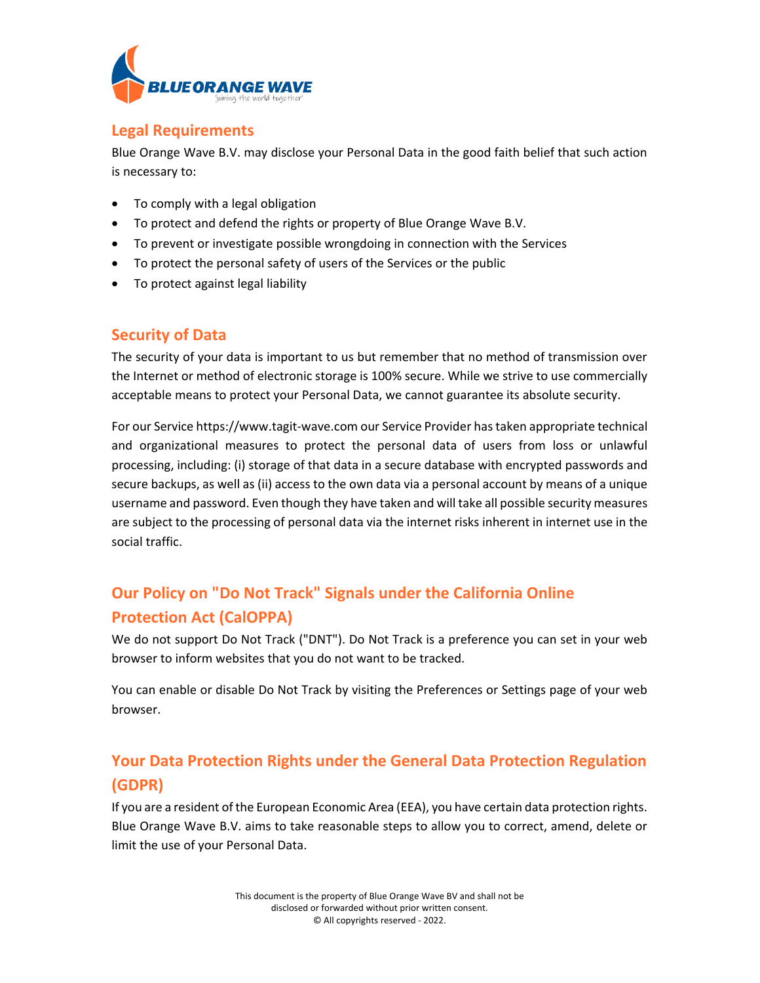

## **Legal Requirements**

Blue Orange Wave B.V. may disclose your Personal Data in the good faith belief that such action is necessary to:

- To comply with a legal obligation
- To protect and defend the rights or property of Blue Orange Wave B.V.
- To prevent or investigate possible wrongdoing in connection with the Services
- To protect the personal safety of users of the Services or the public
- To protect against legal liability

# **Security of Data**

The security of your data is important to us but remember that no method of transmission over the Internet or method of electronic storage is 100% secure. While we strive to use commercially acceptable means to protect your Personal Data, we cannot guarantee its absolute security.

For our Service https://www.tagit-wave.com our Service Provider hastaken appropriate technical and organizational measures to protect the personal data of users from loss or unlawful processing, including: (i) storage of that data in a secure database with encrypted passwords and secure backups, as well as (ii) access to the own data via a personal account by means of a unique username and password. Even though they have taken and will take all possible security measures are subject to the processing of personal data via the internet risks inherent in internet use in the social traffic.

# **Our Policy on "Do Not Track" Signals under the California Online Protection Act (CalOPPA)**

We do not support Do Not Track ("DNT"). Do Not Track is a preference you can set in your web browser to inform websites that you do not want to be tracked.

You can enable or disable Do Not Track by visiting the Preferences or Settings page of your web browser.

# **Your Data Protection Rights under the General Data Protection Regulation (GDPR)**

If you are a resident of the European Economic Area (EEA), you have certain data protection rights. Blue Orange Wave B.V. aims to take reasonable steps to allow you to correct, amend, delete or limit the use of your Personal Data.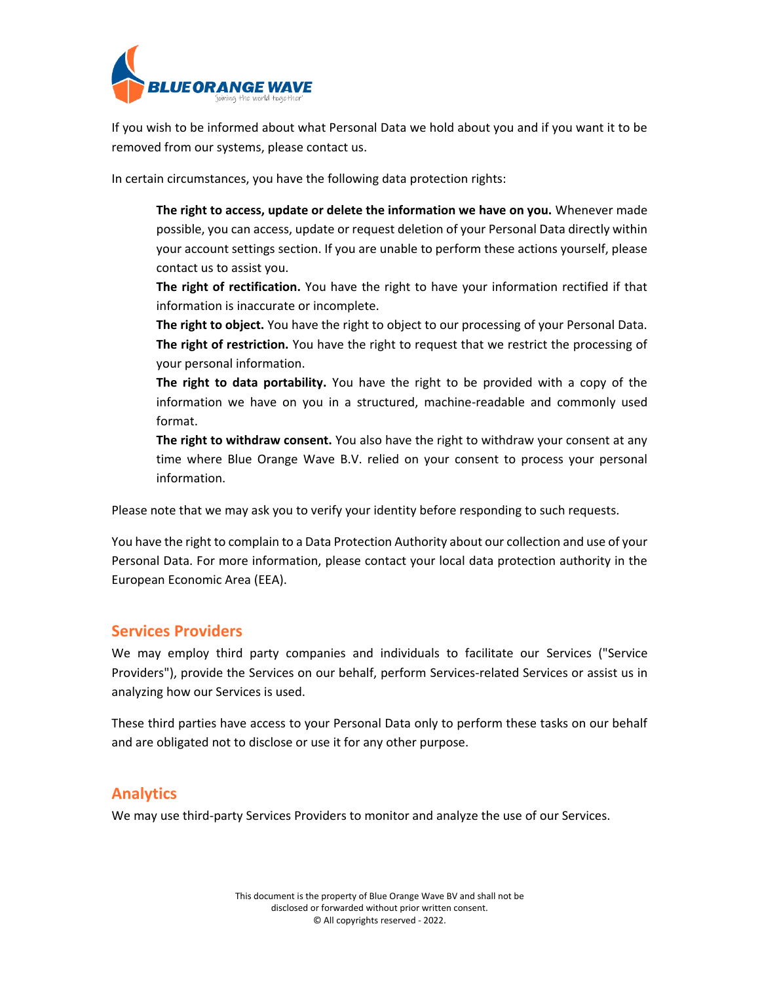

If you wish to be informed about what Personal Data we hold about you and if you want it to be removed from our systems, please contact us.

In certain circumstances, you have the following data protection rights:

**The right to access, update or delete the information we have on you.** Whenever made possible, you can access, update or request deletion of your Personal Data directly within your account settings section. If you are unable to perform these actions yourself, please contact us to assist you.

**The right of rectification.** You have the right to have your information rectified if that information is inaccurate or incomplete.

The right to object. You have the right to object to our processing of your Personal Data. **The right of restriction.** You have the right to request that we restrict the processing of your personal information.

**The right to data portability.** You have the right to be provided with a copy of the information we have on you in a structured, machine-readable and commonly used format.

**The right to withdraw consent.** You also have the right to withdraw your consent at any time where Blue Orange Wave B.V. relied on your consent to process your personal information.

Please note that we may ask you to verify your identity before responding to such requests.

You have the right to complain to a Data Protection Authority about our collection and use of your Personal Data. For more information, please contact your local data protection authority in the European Economic Area (EEA).

### **Services Providers**

We may employ third party companies and individuals to facilitate our Services ("Service Providers"), provide the Services on our behalf, perform Services-related Services or assist us in analyzing how our Services is used.

These third parties have access to your Personal Data only to perform these tasks on our behalf and are obligated not to disclose or use it for any other purpose.

### **Analytics**

We may use third-party Services Providers to monitor and analyze the use of our Services.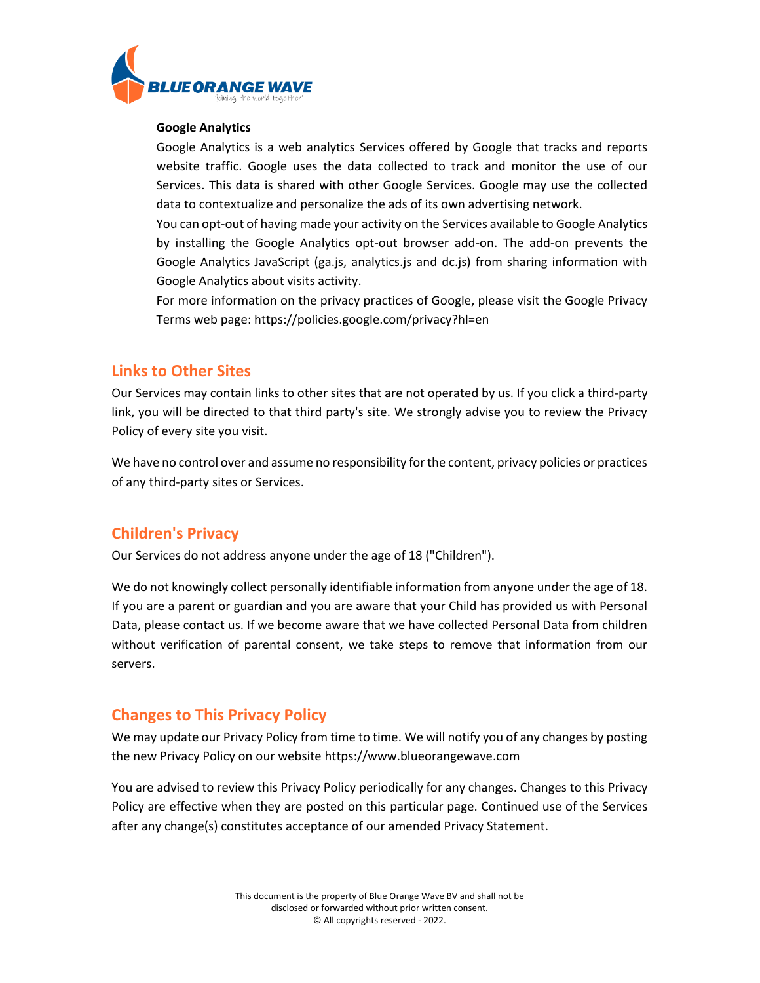

#### **Google Analytics**

Google Analytics is a web analytics Services offered by Google that tracks and reports website traffic. Google uses the data collected to track and monitor the use of our Services. This data is shared with other Google Services. Google may use the collected data to contextualize and personalize the ads of its own advertising network.

You can opt-out of having made your activity on the Services available to Google Analytics by installing the Google Analytics opt-out browser add-on. The add-on prevents the Google Analytics JavaScript (ga.js, analytics.js and dc.js) from sharing information with Google Analytics about visits activity.

For more information on the privacy practices of Google, please visit the Google Privacy Terms web page:<https://policies.google.com/privacy?hl=en>

### **Links to Other Sites**

Our Services may contain links to other sites that are not operated by us. If you click a third-party link, you will be directed to that third party's site. We strongly advise you to review the Privacy Policy of every site you visit.

We have no control over and assume no responsibility for the content, privacy policies or practices of any third-party sites or Services.

### **Children's Privacy**

Our Services do not address anyone under the age of 18 ("Children").

We do not knowingly collect personally identifiable information from anyone under the age of 18. If you are a parent or guardian and you are aware that your Child has provided us with Personal Data, please contact us. If we become aware that we have collected Personal Data from children without verification of parental consent, we take steps to remove that information from our servers.

### **Changes to This Privacy Policy**

We may update our Privacy Policy from time to time. We will notify you of any changes by posting the new Privacy Policy on our website https://www.blueorangewave.com

You are advised to review this Privacy Policy periodically for any changes. Changes to this Privacy Policy are effective when they are posted on this particular page. Continued use of the Services after any change(s) constitutes acceptance of our amended Privacy Statement.